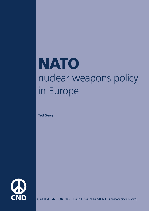## **NATO** nuclear weapons policy in Europe

**Ted Seay**



CAMPAIGN FOR NUCLEAR DISARMAMENT • www.cnduk.org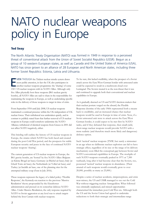## NATO nuclear weapons policy in Europe

## **Ted Seay**

The North Atlantic Treaty Organisation (NATO) was formed in 1949 in response to <sup>a</sup> perceived threat of conventional attack from the Union of Soviet Socialist Republics (USSR). Begun as <sup>a</sup> group of 10 western European states, as well as Canada and the United States of America (USA), NATO has since grown to an alliance of 28 European and North American states, including three former Soviet Republics: Estonia, Latvia and Lithuania.

**VEN** THOUGH the Trident nuclear missile system draws<br>most public attention, in fact the UK also participates in<br>another nuclear weapons programme: the 'sharing' of som<br>150+ US nuclear weapons with its NATO Allies. Althoug VEN THOUGH the Trident nuclear missile system draws most public attention, in fact the UK also participates in another nuclear weapons programme: the 'sharing' of some five Allies physically host these weapons (B61 nuclear gravity bombs), all NATO Allies are said to share in the responsibility for maintaining the weapons in Europe, as well as undertaking specific roles in the delivery of those weapons to target in time of crisis.

From September 1954 until July 2008, US nuclear weapons maintained a continual presence within the UK independent of UK nuclear forces. Their withdrawal was undertaken quietly, and in contrast to publicly stated fears that further removal of US nuclear weapons in Europe could somehow undermine the NATO Alliance; withdrawal of identical weapons from Greece in 2001 did not affect NATO negatively, either.

This briefing will outline the history of US nuclear weapons in Europe, the strains which NATO has both faced and created during the post-Cold War period, and the prospects for stable European security and peace in the face of continued NATO nuclear weapons 'sharing'.

The current generation of US nuclear weapons in Europe, the B61 gravity bombs, are 'hosted' by five NATO Allies: Belgium (at Kleine Brogel air base); Germany (at Büchel air base); Italy (at Ghedi Torre air base); the Netherlands (at Volkel air base); and Turkey (at Incirlik air base, one of the planning sites for the attempted military coup d'etat in July 2016).

These weapons represent the legacy of a failed policy: 'Flexible Response', the Kennedy-era reaction to the previous 'Massive Retaliation' theory propounded by the Eisenhower administration and pressed on its somewhat dubious NATO Allies. Under Massive Retaliation, the only response required by NATO to Soviet aggression at any level was to attack targets behind the Iron Curtain with nuclear weapons.

To be sure, this lacked credibility, when the prospect of a Soviet attack across the East/West German border with armoured units could be expected to result in a mushroom cloud over Leningrad. The Soviets treated it as the non-threat that it was and continued to upgrade both their conventional and nuclear capabilities in Europe.

As it gradually dawned on US and NATO decision-makers that their nuclear posture verged on the absurd, the Flexible Response doctrine of the early 1960s represented both a means back to credibility, and an increased chance that nuclear weapons would be used in Europe in time of crisis. Now, if a Soviet armoured unit were to attack across the East/West German border, it could expect to be met first by NATO tanks, and if they defeated that response, then small-yield, short-range nuclear weapons would provide NATO with a more realistic (and therefore much more likely and dangerous) defence option.

Such 'tactical' nuclear weapons (TNW; but surely a misnomer in an age when no deliberate nuclear explosion can fail to have strategic effect, regardless of its size or the range of its delivery mechanism) soon filled the conceptual gap between Soviet and NATO conventional capabilities in Europe. The stockpile of such NATO weapons eventually peaked in 1971 at 7,300 warheads, long after it had become clear that the Soviets, too, possessed 'tactical' nuclear weapons in abundance. (Their arsenal of such weapons would eventually grow to over 20,000, possibly as many as 25,000.)

Despite a series of nuclear accidents, misperceptions, and crisis near-misses, the US and USSR managed to see out the Cold War without triggering nuclear Armageddon. What followed was criminally unplanned, and missed opportunities characterised the immediate post-Cold War era. Although both the US and the Soviet Union had agreed to undertake reductions to both their strategic and intermediate-range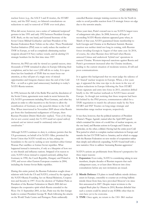nuclear forces (e.g., the SALT I and II treaties, the START treaty, and the INF treaty), no bilateral consultations on reductions to and/or removal of TNW ever took place.

What did occur, however, was a series of 'unilateral/reciprocal' gestures in late 1991 and early 1992 between President George H.W. Bush, on the one hand, and General Secretary of the Soviet Union Mikhail Gorbachev and later President of the Russian Federation Boris Yeltsin on the other. These Presidential Nuclear Initiatives (PNI) were to vastly reduce the number of TNW in Europe, as well as completely eliminating nuclear weapons aboard US Navy surface vessels, and de-alerting US strategic bombers for the first time since 1957.

However, the PNI can only be viewed as a partial success, since thousands of TNW remained in place in Europe following their completion, and in fact over 1,200 still do so today. It is upon these last few hundreds of TNW that we must focus our attention, as they tell part of a tragic story of missed opportunities and foregone chances since the end of the Cold War – as well as a grim (and unnecessary) backdrop to today's NATO-Russia tensions.

In 1990, between the fall of the Berlin War and the dissolution of the Soviet Union, agreements were made in secret between the US, NATO governments including West Germany, and other key players in order to offer incentives to the Soviets to allow the reunification of Germany as the peaceful climax to the Cold War. When interviewed in November 2009 about what Russia got from this fundamental realignment of Europe, then-Russian President Dmitri Medvedev replied, *"None of the things that we were assured, namely that NATO would not expand endlessly eastwards and our interests would be continuously taken into consideration."*

Although NATO continues to deny it, evidence persists that the US government, on behalf of its NATO Allies, promised the Soviet Union that NATO would not, in fact, enlarge its boundaries to the east by seeking as new members either former Warsaw Pact satellites or former Soviet republics. What happened instead is instructive, if only as a blueprint of how not to win friends and influence nations. Stripped of its reason to exist, NATO chose instead to expand eastward, adding East Germany in 1990, the Czech Republic, Hungary and Poland in 1999, and seven other Eastern European countries in 2004, including the former Soviet Baltic republics.

During this entire period, the Russian Federation sought closer relations with both the US and NATO, evinced by the signing of the NATO-Russia Founding Act on Mutual Relations, Cooperation and Security in 1997. Even the election of Vladimir Putin as President of the Russian Federation in March 2000 did not dampen the cooperative spirit which Russia extended to the West. On 11 September 2001, in fact, Putin was the first foreign leader to contact President George W. Bush following the attacks on the World Trade Centre and Pentagon. Putin unilaterally

cancelled Russian strategic training exercises in the far North in order to avoid possible reaction from US strategic forces on edge due to the terrorist attacks.

Three years later, Putin's reward was to see NATO's largest wave of enlargement take place. In 2008, however, all hope of reconciling NATO-Russia relations appeared gone when, in March of that year, NATO guaranteed future membership to both Georgia and Ukraine at its Bucharest Summit. Russian reaction was neither timid nor long in coming, with Russian forces invading Georgia in August of that same year. In 2014, of course, the other Russian shoe fell hard when Russia annexed Crimea and undertook 'hybrid war' operations in eastern Ukraine. Western-imposed sanctions against Russia and Putin's government increased after the Ukraine incidents, leading to the current situation of moderate tension, ill will and poor communications.

It is against this background that we must judge the salience of US 'shared' nuclear weapons in Europe. When, a few years ago, it appeared the time was ripe to do more in the way of nuclear reductions in Europe following the New START Treaty signature and entry into force in 2011, attention drifted briefly to the 180 nuclear warheads in NATO bases around Europe. As though just noticing that these weapons had been left behind by the PNI process, commentators called for a TNW negotiation to match the advances made by the New START and INF Treaties on long-range strategic and intermediate-range nuclear weapons, respectively.

It was then, however, that the political narratives of President Obama's 'Prague Agenda', named after the April 2009 speech which contained his vision of a world free of nuclear weapons, on the one hand, and Russian actions in Georgia and Ukraine in particular, on the other, collided. Having had the entire post-Cold War period in which to complete nuclear reductions in Europe and transfer the last US TNW back to America, and in which to engage with the Russian Federation on new modes of cooperation rather than simply and reflexively expanding, NATO found itself with a new narrative: How to address 'increasing Russian aggression.'

NATO's actions are problematic from Moscow's perspective for three major reasons:

- **1. Expansion:** Even today, NATO is considering taking in new members, despite decades of Russian requests that such enlargement cease, or at least draw Moscow into close consultations before any new invitations are issued.
- **2. Missile Defence:** US plans to install ballistic missile defence assets in Europe, ostensibly to counter an evolving ballistic missile threat from Iran, have provoked Moscow's ire since first announced in 2007. Despite major revisions to the original Bush plan by Obama in 2010, Russian disbelief that such a system could be aimed at any ICBMs other than its own have yet to be overcome.
- **3. TNW:** Once again, we return to the 150+ B61 nuclear